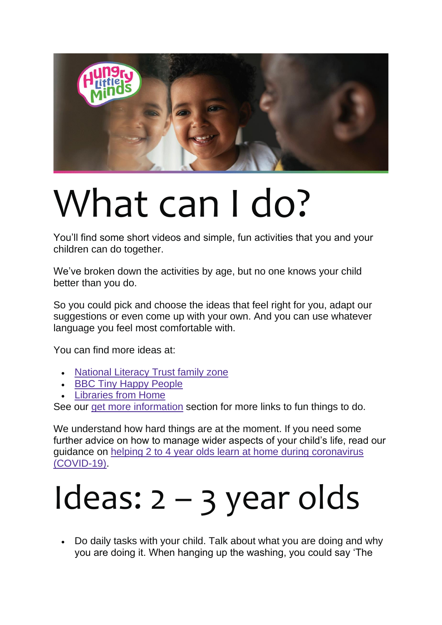

## What can I do?

You'll find some short videos and simple, fun activities that you and your children can do together.

We've broken down the activities by age, but no one knows your child better than you do.

So you could pick and choose the ideas that feel right for you, adapt our suggestions or even come up with your own. And you can use whatever language you feel most comfortable with.

You can find more ideas at:

- [National Literacy Trust family zone](https://literacytrust.org.uk/family-zone/birth-4/)
- [BBC Tiny Happy People](https://www.bbc.co.uk/tiny-happy-people)
- [Libraries from Home](https://www.librariesconnected.org.uk/page/librariesfromhome#Libraryevents)

See our [get more information](https://hungrylittleminds.campaign.gov.uk/#resources) section for more links to fun things to do.

We understand how hard things are at the moment. If you need some further advice on how to manage wider aspects of your child's life, read our guidance on [helping 2 to 4 year olds learn at home during coronavirus](https://www.gov.uk/guidance/help-children-aged-2-to-4-to-learn-at-home-during-coronavirus-covid-19)  [\(COVID-19\).](https://www.gov.uk/guidance/help-children-aged-2-to-4-to-learn-at-home-during-coronavirus-covid-19)

## Ideas: 2 – 3 year olds

• Do daily tasks with your child. Talk about what you are doing and why you are doing it. When hanging up the washing, you could say 'The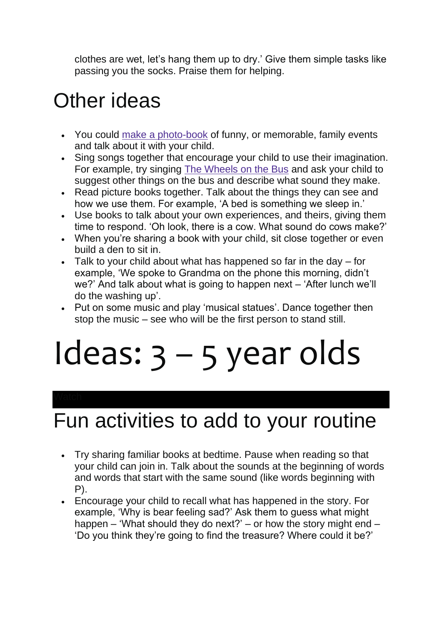clothes are wet, let's hang them up to dry.' Give them simple tasks like passing you the socks. Praise them for helping.

#### Other ideas

- You could [make a photo-book](https://small-talk.org.uk/3-5-years/read/make-memory-book/) of funny, or memorable, family events and talk about it with your child.
- Sing songs together that encourage your child to use their imagination. For example, try singing [The Wheels on the Bus](https://small-talk.org.uk/2-3-years/play/wheels-bus/) and ask your child to suggest other things on the bus and describe what sound they make.
- Read picture books together. Talk about the things they can see and how we use them. For example, 'A bed is something we sleep in.'
- Use books to talk about your own experiences, and theirs, giving them time to respond. 'Oh look, there is a cow. What sound do cows make?'
- When you're sharing a book with your child, sit close together or even build a den to sit in.
- Talk to your child about what has happened so far in the day for example, 'We spoke to Grandma on the phone this morning, didn't we?' And talk about what is going to happen next – 'After lunch we'll do the washing up'.
- Put on some music and play 'musical statues'. Dance together then stop the music – see who will be the first person to stand still.

## Ideas: 3 – 5 year olds

#### Fun activities to add to your routine

- Try sharing familiar books at bedtime. Pause when reading so that your child can join in. Talk about the sounds at the beginning of words and words that start with the same sound (like words beginning with P).
- Encourage your child to recall what has happened in the story. For example, 'Why is bear feeling sad?' Ask them to guess what might happen – 'What should they do next?' – or how the story might end – 'Do you think they're going to find the treasure? Where could it be?'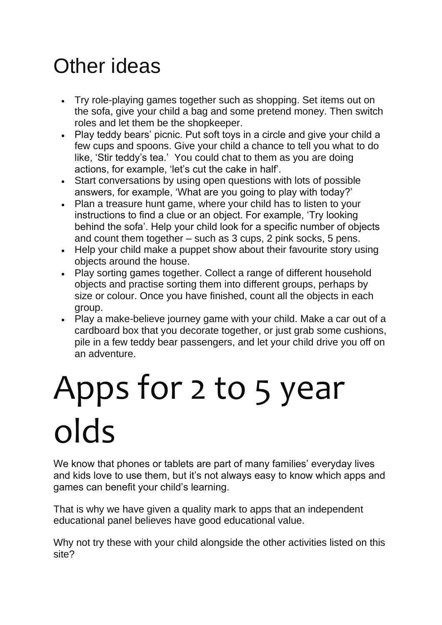#### Other ideas

- Try role-playing games together such as shopping. Set items out on the sofa, give your child a bag and some pretend money. Then switch roles and let them be the shopkeeper.
- Play teddy bears' picnic. Put soft toys in a circle and give your child a few cups and spoons. Give your child a chance to tell you what to do like, 'Stir teddy's tea.' You could chat to them as you are doing actions, for example, 'let's cut the cake in half'.
- Start conversations by using open questions with lots of possible answers, for example, 'What are you going to play with today?'
- Plan a treasure hunt game, where your child has to listen to your instructions to find a clue or an object. For example, 'Try looking behind the sofa'. Help your child look for a specific number of objects and count them together – such as 3 cups, 2 pink socks, 5 pens.
- Help your child make a puppet show about their favourite story using objects around the house.
- Play sorting games together. Collect a range of different household objects and practise sorting them into different groups, perhaps by size or colour. Once you have finished, count all the objects in each group.
- Play a make-believe journey game with your child. Make a car out of a cardboard box that you decorate together, or just grab some cushions, pile in a few teddy bear passengers, and let your child drive you off on an adventure.

## Apps for 2 to 5 year olds

We know that phones or tablets are part of many families' everyday lives and kids love to use them, but it's not always easy to know which apps and games can benefit your child's learning.

That is why we have given a quality mark to apps that an independent educational panel believes have good educational value.

Why not try these with your child alongside the other activities listed on this site?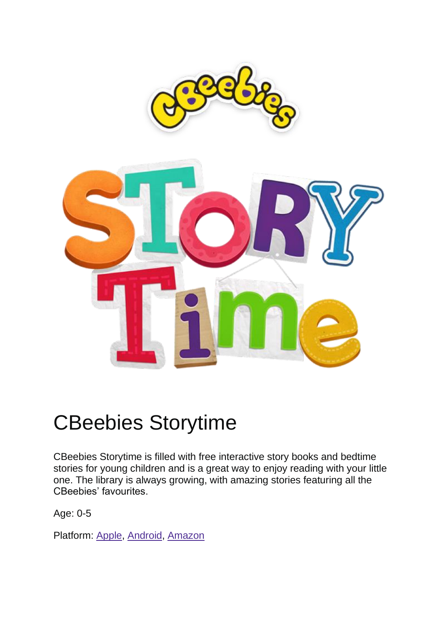



#### CBeebies Storytime

CBeebies Storytime is filled with free interactive story books and bedtime stories for young children and is a great way to enjoy reading with your little one. The library is always growing, with amazing stories featuring all the CBeebies' favourites.

Age: 0-5

Platform: [Apple,](https://itunes.apple.com/gb/app/bbc-cbeebies-storytime/id891730883?mt=8) [Android,](https://play.google.com/store/apps/details?id=air.uk.co.bbc.cbeebiesstorytime) [Amazon](http://www.amazon.co.uk/Media-Applications-Technologies-Ltd-Storytime/dp/B00LXAM040)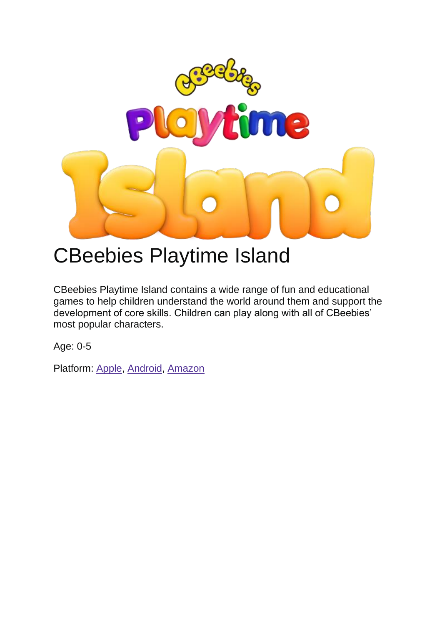

#### CBeebies Playtime Island

CBeebies Playtime Island contains a wide range of fun and educational games to help children understand the world around them and support the development of core skills. Children can play along with all of CBeebies' most popular characters.

Age: 0-5

Platform: [Apple,](https://itunes.apple.com/app/apple-store/id1140156471?pt=342230&ct=Grown-Ups-Website&mt=8) [Android,](https://play.google.com/store/apps/details?id=uk.co.bbc.cbeebiesplaytimeisland&referrer=utm_source=grown-ups-website) [Amazon](https://www.amazon.com/gp/mas/dl/android?p=uk.co.bbc.cbeebiesplaytimeisland)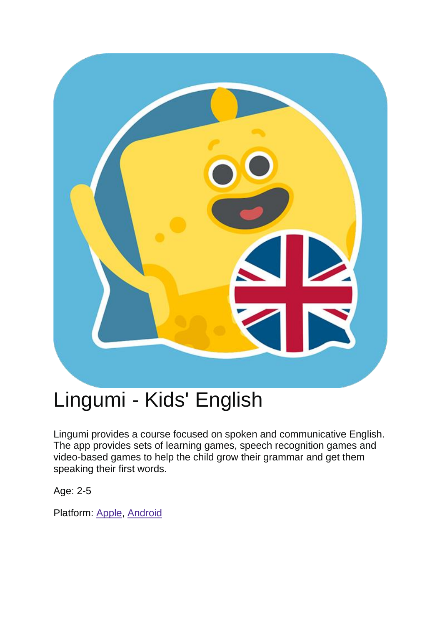

#### Lingumi - Kids' English

Lingumi provides a course focused on spoken and communicative English. The app provides sets of learning games, speech recognition games and video-based games to help the child grow their grammar and get them speaking their first words.

Age: 2-5

Platform: [Apple,](https://apps.apple.com/gb/app/lingumi-english-for-kids/id1166747151) [Android](https://play.google.com/store/apps/details?id=com.lingumi.lingumiplay&hl=en_GB)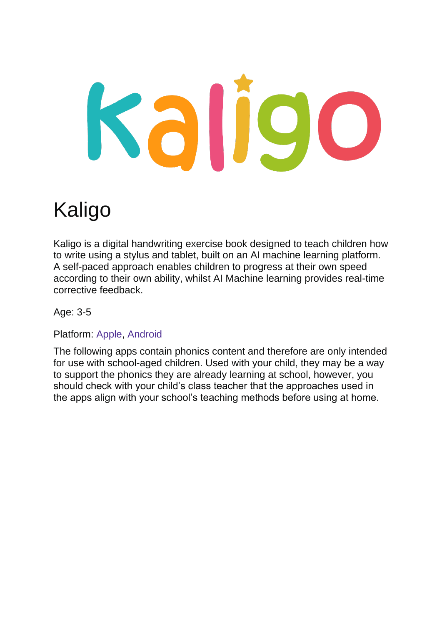# Sallo

#### Kaligo

Kaligo is a digital handwriting exercise book designed to teach children how to write using a stylus and tablet, built on an AI machine learning platform. A self-paced approach enables children to progress at their own speed according to their own ability, whilst AI Machine learning provides real-time corrective feedback.

Age: 3-5

Platform: [Apple,](https://apps.apple.com/us/app/kaligo-home/id1461475849) [Android](https://apps.apple.com/us/app/kaligo-home/id1461475849)

The following apps contain phonics content and therefore are only intended for use with school-aged children. Used with your child, they may be a way to support the phonics they are already learning at school, however, you should check with your child's class teacher that the approaches used in the apps align with your school's teaching methods before using at home.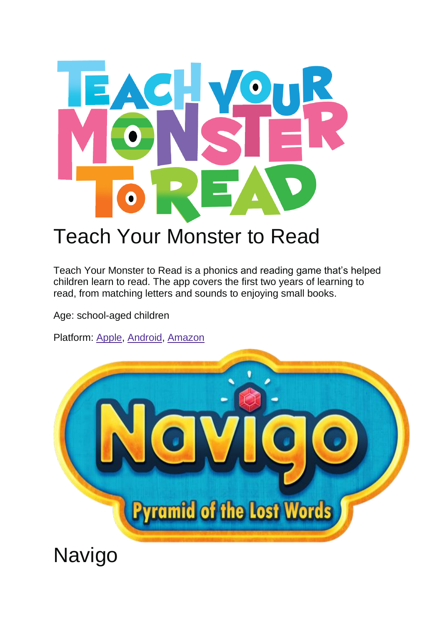

#### Teach Your Monster to Read

Teach Your Monster to Read is a phonics and reading game that's helped children learn to read. The app covers the first two years of learning to read, from matching letters and sounds to enjoying small books.

Age: school-aged children

Platform: [Apple,](https://apps.apple.com/app/teach-your-monster-to-read-phonics-and-reading/id828392046) [Android,](https://play.google.com/store/apps/details?id=com.teachyourmonstertoread.tmapp) [Amazon](https://www.amazon.co.uk/Teach-Your-Monster-to-Read/dp/B01HDXUH0O/&sa=D&ust=1466773759765000&usg=AFQjCNHi260gpC4NWV-mGOVFE6ADv_1_bA)



Navigo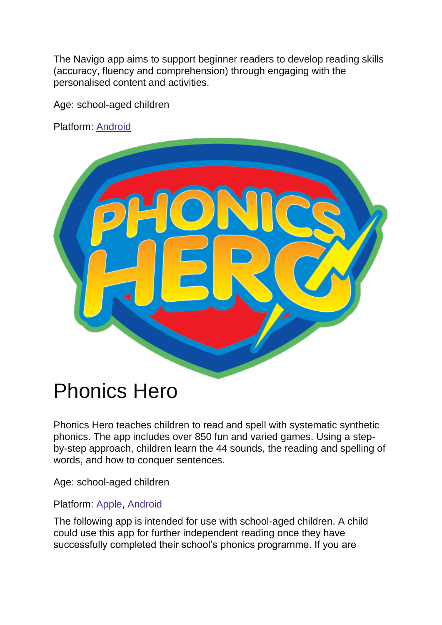The Navigo app aims to support beginner readers to develop reading skills (accuracy, fluency and comprehension) through engaging with the personalised content and activities.

Age: school-aged children

Platform: [Android](https://play.google.com/store/apps/details?id=com.fishinabottle.navigo)



#### Phonics Hero

Phonics Hero teaches children to read and spell with systematic synthetic phonics. The app includes over 850 fun and varied games. Using a stepby-step approach, children learn the 44 sounds, the reading and spelling of words, and how to conquer sentences.

Age: school-aged children

Platform: [Apple,](https://apps.apple.com/au/app/phonics-hero/id908692848) [Android](https://play.google.com/store/apps/details?id=com.phonicshero.phonicshero&hl=en_GB)

The following app is intended for use with school-aged children. A child could use this app for further independent reading once they have successfully completed their school's phonics programme. If you are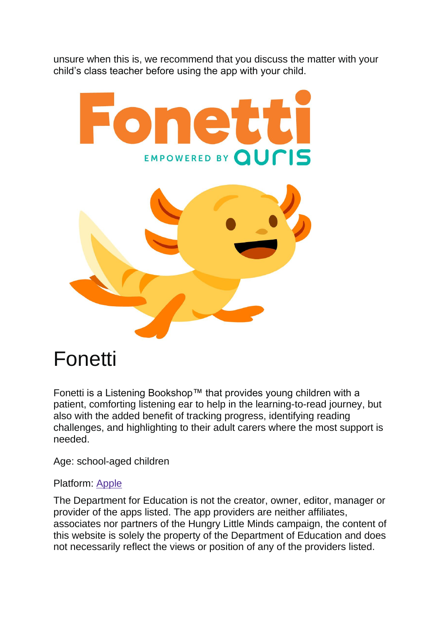unsure when this is, we recommend that you discuss the matter with your child's class teacher before using the app with your child.



#### Fonetti

Fonetti is a Listening Bookshop™ that provides young children with a patient, comforting listening ear to help in the learning-to-read journey, but also with the added benefit of tracking progress, identifying reading challenges, and highlighting to their adult carers where the most support is needed.

Age: school-aged children

#### Platform: [Apple](https://apps.apple.com/gb/app/fonetti/id1332609392)

The Department for Education is not the creator, owner, editor, manager or provider of the apps listed. The app providers are neither affiliates, associates nor partners of the Hungry Little Minds campaign, the content of this website is solely the property of the Department of Education and does not necessarily reflect the views or position of any of the providers listed.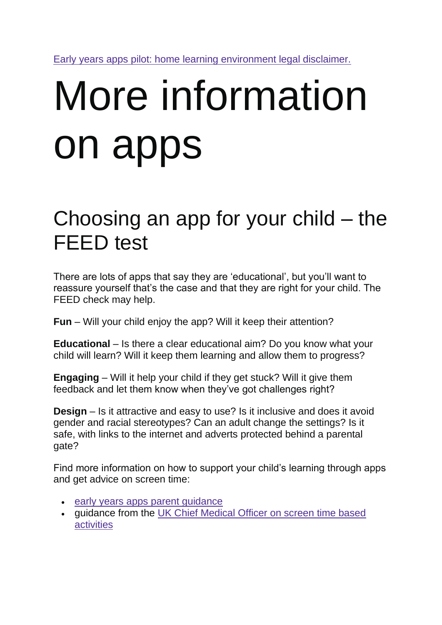[Early years apps pilot: home learning environment legal disclaimer.](https://www.gov.uk/government/publications/early-years-apps-pilot-home-learning-environment/legal-disclaimer)

# More information on apps

#### Choosing an app for your child – the FEED test

There are lots of apps that say they are 'educational', but you'll want to reassure yourself that's the case and that they are right for your child. The FEED check may help.

**Fun** – Will your child enjoy the app? Will it keep their attention?

**Educational** – Is there a clear educational aim? Do you know what your child will learn? Will it keep them learning and allow them to progress?

**Engaging** – Will it help your child if they get stuck? Will it give them feedback and let them know when they've got challenges right?

**Design** – Is it attractive and easy to use? Is it inclusive and does it avoid gender and racial stereotypes? Can an adult change the settings? Is it safe, with links to the internet and adverts protected behind a parental gate?

Find more information on how to support your child's learning through apps and get advice on screen time:

- [early years apps parent guidance](https://www.gov.uk/government/publications/early-years-apps-pilot-home-learning-environment/home-learning-environment-early-years-apps-parent-guidance)
- guidance from the [UK Chief Medical Officer on screen time based](https://assets.publishing.service.gov.uk/government/uploads/system/uploads/attachment_data/file/777026/UK_CMO_commentary_on_screentime_and_social_media_map_of_reviews.pdf)  [activities](https://assets.publishing.service.gov.uk/government/uploads/system/uploads/attachment_data/file/777026/UK_CMO_commentary_on_screentime_and_social_media_map_of_reviews.pdf)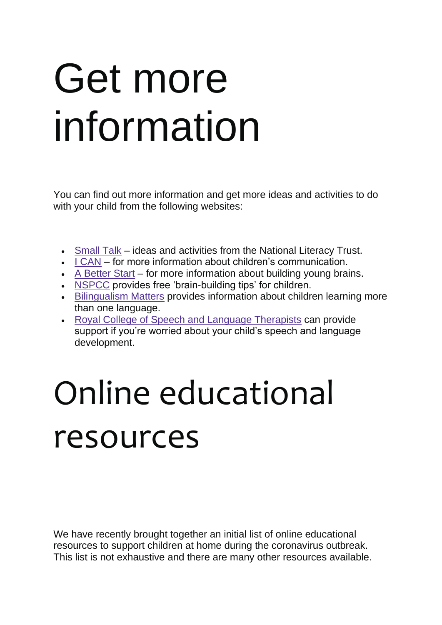## Get more information

You can find out more information and get more ideas and activities to do with your child from the following websites:

- [Small Talk](https://small-talk.org.uk/) ideas and activities from the National Literacy Trust.
- [I CAN](http://www.talkingpoint.org.uk/) for more information about children's communication.
- [A Better Start](http://www.smallstepsbigchanges.org.uk/biglittlemoments) for more information about building young brains.
- [NSPCC](https://www.nspcc.org.uk/preventing-abuse/keeping-children-safe/look-say-sing-play/) provides free 'brain-building tips' for children.
- [Bilingualism Matters](http://www.bilingualism-matters.ppls.ed.ac.uk/parents-questions/) provides information about children learning more than one language.
- [Royal College of Speech and Language Therapists](https://www.rcslt.org/speech-and-language-therapy#section-4) can provide support if you're worried about your child's speech and language development.

## Online educational resources

We have recently brought together an initial list of online educational resources to support children at home during the coronavirus outbreak. This list is not exhaustive and there are many other resources available.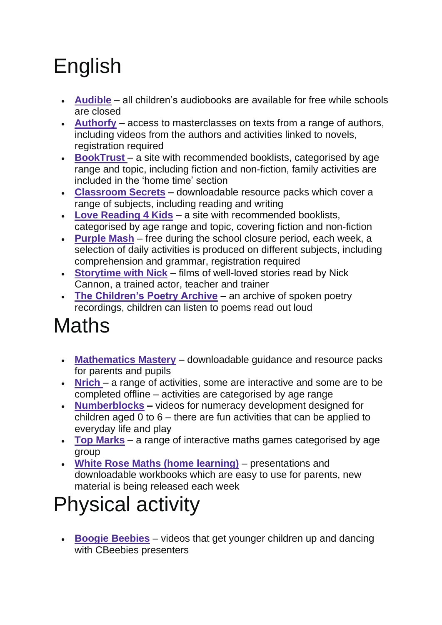### English

- **[Audible](https://stories.audible.com/start-listen) –** all children's audiobooks are available for free while schools are closed
- **[Authorfy](https://authorfy.com/) –** access to masterclasses on texts from a range of authors, including videos from the authors and activities linked to novels, registration required
- **[BookTrust](https://www.booktrust.org.uk/books-and-reading/bookfinder/)** a site with recommended booklists, categorised by age range and topic, including fiction and non-fiction, family activities are included in the 'home time' section
- **[Classroom Secrets](https://classroomsecrets.co.uk/free-home-learning-packs/) –** downloadable resource packs which cover a range of subjects, including reading and writing
- **[Love Reading 4 Kids](https://www.lovereading4kids.co.uk/) –** a site with recommended booklists, categorised by age range and topic, covering fiction and non-fiction
- **[Purple Mash](https://2simple.com/purple-mash/)** free during the school closure period, each week, a selection of daily activities is produced on different subjects, including comprehension and grammar, registration required
- **[Storytime with Nick](https://www.ruthmiskin.com/en/find-out-more/help-during-school-closure/)** films of well-loved stories read by Nick Cannon, a trained actor, teacher and trainer
- **[The Children's Poetry Archive](https://childrens.poetryarchive.org/) –** an archive of spoken poetry recordings, children can listen to poems read out loud

## **Maths**

- **[Mathematics Mastery](https://www.mathematicsmastery.org/free-resources)** downloadable guidance and resource packs for parents and pupils
- **[Nrich](https://nrich.maths.org/)** a range of activities, some are interactive and some are to be completed offline – activities are categorised by age range
- **[Numberblocks](https://www.bbc.co.uk/cbeebies/grownups/help-your-child-with-maths) –** videos for numeracy development designed for children aged 0 to 6 – there are fun activities that can be applied to everyday life and play
- **[Top Marks](https://www.topmarks.co.uk/maths-games) –** a range of interactive maths games categorised by age group
- **[White Rose Maths \(home learning\)](https://whiterosemaths.com/homelearning/)** presentations and downloadable workbooks which are easy to use for parents, new material is being released each week

#### Physical activity

• **[Boogie Beebies](https://www.bbc.co.uk/programmes/b006mvsc)** – videos that get younger children up and dancing with CBeebies presenters